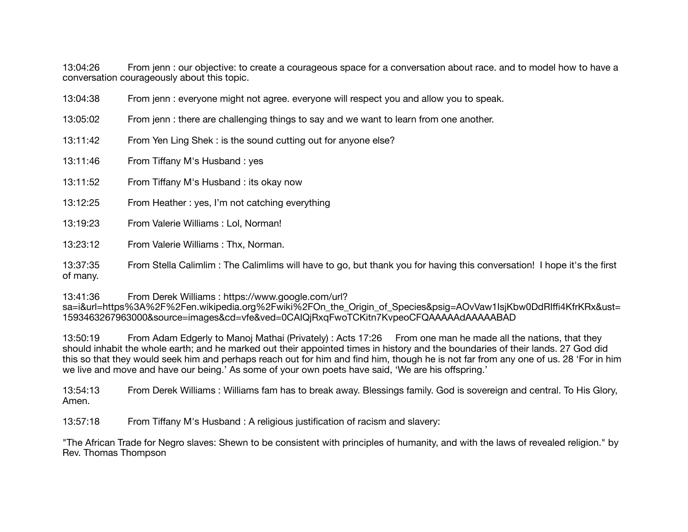13:04:26 From jenn : our objective: to create a courageous space for a conversation about race. and to model how to have a conversation courageously about this topic.

| 13:04:38             | From jenn : everyone might not agree. everyone will respect you and allow you to speak.          |
|----------------------|--------------------------------------------------------------------------------------------------|
| 13:05:02             | From jenn : there are challenging things to say and we want to learn from one another.           |
| 13:11:42             | From Yen Ling Shek: is the sound cutting out for anyone else?                                    |
| 13:11:46             | From Tiffany M's Husband: yes                                                                    |
| 13:11:52             | From Tiffany M's Husband: its okay now                                                           |
| 13:12:25             | From Heather: yes, I'm not catching everything                                                   |
| 13:19:23             | From Valerie Williams: Lol, Norman!                                                              |
| 13:23:12             | From Valerie Williams: Thx, Norman.                                                              |
| 13:37:35<br>of many. | From Stella Calimlim: The Calimlims will have to go, but thank you for having this conversation! |

13:41:36 From Derek Williams : https://www.google.com/url? sa=i&url=https%3A%2F%2Fen.wikipedia.org%2Fwiki%2FOn\_the\_Origin\_of\_Species&psig=AOvVaw1IsjKbw0DdRIffi4KfrKRx&ust= 1593463267963000&source=images&cd=vfe&ved=0CAIQjRxqFwoTCKitn7KvpeoCFQAAAAAdAAAAABAD

I hope it's the first

13:50:19 From Adam Edgerly to Manoj Mathai (Privately) : Acts 17:26 From one man he made all the nations, that they should inhabit the whole earth; and he marked out their appointed times in history and the boundaries of their lands. 27 God did this so that they would seek him and perhaps reach out for him and find him, though he is not far from any one of us. 28 'For in him we live and move and have our being.' As some of your own poets have said, 'We are his offspring.'

13:54:13 From Derek Williams : Williams fam has to break away. Blessings family. God is sovereign and central. To His Glory, Amen.

13:57:18 From Tiffany M's Husband : A religious justification of racism and slavery:

"The African Trade for Negro slaves: Shewn to be consistent with principles of humanity, and with the laws of revealed religion." by Rev. Thomas Thompson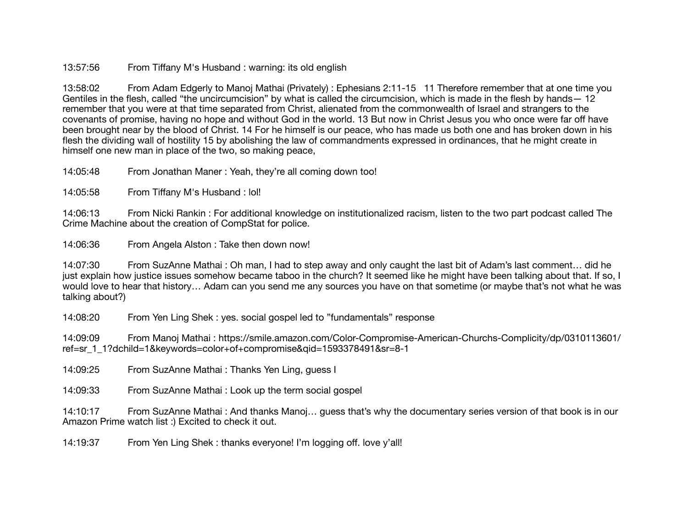13:57:56 From Tiffany M's Husband : warning: its old english

13:58:02 From Adam Edgerly to Manoj Mathai (Privately) : Ephesians 2:11-15 11 Therefore remember that at one time you Gentiles in the flesh, called "the uncircumcision" by what is called the circumcision, which is made in the flesh by hands— 12 remember that you were at that time separated from Christ, alienated from the commonwealth of Israel and strangers to the covenants of promise, having no hope and without God in the world. 13 But now in Christ Jesus you who once were far off have been brought near by the blood of Christ. 14 For he himself is our peace, who has made us both one and has broken down in his flesh the dividing wall of hostility 15 by abolishing the law of commandments expressed in ordinances, that he might create in himself one new man in place of the two, so making peace,

14:05:48 From Jonathan Maner : Yeah, they're all coming down too!

14:05:58 From Tiffany M's Husband : lol!

14:06:13 From Nicki Rankin : For additional knowledge on institutionalized racism, listen to the two part podcast called The Crime Machine about the creation of CompStat for police.

14:06:36 From Angela Alston : Take then down now!

14:07:30 From SuzAnne Mathai : Oh man, I had to step away and only caught the last bit of Adam's last comment… did he just explain how justice issues somehow became taboo in the church? It seemed like he might have been talking about that. If so, I would love to hear that history… Adam can you send me any sources you have on that sometime (or maybe that's not what he was talking about?)

14:08:20 From Yen Ling Shek : yes. social gospel led to "fundamentals" response

14:09:09 From Manoj Mathai : https://smile.amazon.com/Color-Compromise-American-Churchs-Complicity/dp/0310113601/ ref=sr\_1\_1?dchild=1&keywords=color+of+compromise&qid=1593378491&sr=8-1

14:09:25 From SuzAnne Mathai : Thanks Yen Ling, guess I

14:09:33 From SuzAnne Mathai : Look up the term social gospel

14:10:17 From SuzAnne Mathai : And thanks Manoj… guess that's why the documentary series version of that book is in our Amazon Prime watch list :) Excited to check it out.

14:19:37 From Yen Ling Shek : thanks everyone! I'm logging off. love y'all!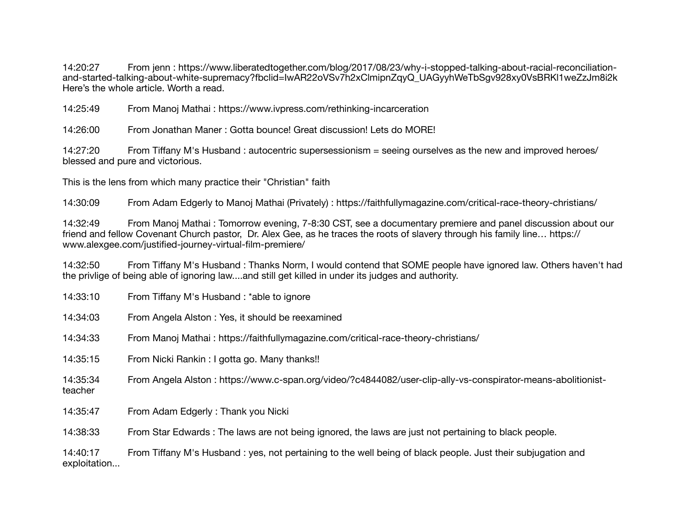14:20:27 From jenn : https://www.liberatedtogether.com/blog/2017/08/23/why-i-stopped-talking-about-racial-reconciliationand-started-talking-about-white-supremacy?fbclid=IwAR22oVSv7h2xClmipnZqyQ\_UAGvyhWeTbSqv928xv0VsBRKI1weZzJm8i2k Here's the whole article. Worth a read.

14:25:49 From Manoj Mathai : https://www.ivpress.com/rethinking-incarceration

14:26:00 From Jonathan Maner : Gotta bounce! Great discussion! Lets do MORE!

14:27:20 From Tiffany M's Husband : autocentric supersessionism = seeing ourselves as the new and improved heroes/ blessed and pure and victorious.

This is the lens from which many practice their "Christian" faith

14:30:09 From Adam Edgerly to Manoj Mathai (Privately) : https://faithfullymagazine.com/critical-race-theory-christians/

14:32:49 From Manoj Mathai : Tomorrow evening, 7-8:30 CST, see a documentary premiere and panel discussion about our friend and fellow Covenant Church pastor, Dr. Alex Gee, as he traces the roots of slavery through his family line… https:// www.alexgee.com/justified-journey-virtual-film-premiere/

14:32:50 From Tiffany M's Husband : Thanks Norm, I would contend that SOME people have ignored law. Others haven't had the privlige of being able of ignoring law....and still get killed in under its judges and authority.

| 14:33:10                 | From Tiffany M's Husband: *able to ignore                                                                    |
|--------------------------|--------------------------------------------------------------------------------------------------------------|
| 14:34:03                 | From Angela Alston: Yes, it should be reexamined                                                             |
| 14:34:33                 | From Manoj Mathai: https://faithfullymagazine.com/critical-race-theory-christians/                           |
| 14:35:15                 | From Nicki Rankin: I gotta go. Many thanks!!                                                                 |
| 14:35:34<br>teacher      | From Angela Alston: https://www.c-span.org/video/?c4844082/user-clip-ally-vs-conspirator-means-abolitionist- |
| 14:35:47                 | From Adam Edgerly: Thank you Nicki                                                                           |
| 14:38:33                 | From Star Edwards: The laws are not being ignored, the laws are just not pertaining to black people.         |
| 14:40:17<br>exploitation | From Tiffany M's Husband : yes, not pertaining to the well being of black people. Just their subjugation and |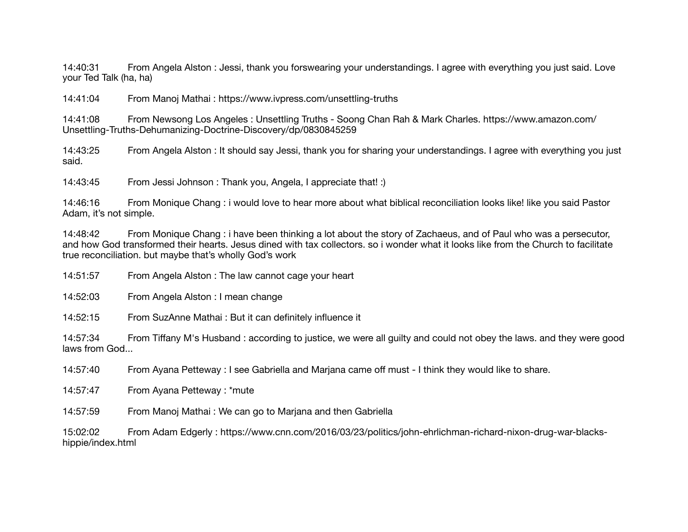14:40:31 From Angela Alston : Jessi, thank you forswearing your understandings. I agree with everything you just said. Love your Ted Talk (ha, ha)

14:41:04 From Manoj Mathai : https://www.ivpress.com/unsettling-truths

14:41:08 From Newsong Los Angeles : Unsettling Truths - Soong Chan Rah & Mark Charles. https://www.amazon.com/ Unsettling-Truths-Dehumanizing-Doctrine-Discovery/dp/0830845259

14:43:25 From Angela Alston : It should say Jessi, thank you for sharing your understandings. I agree with everything you just said.

14:43:45 From Jessi Johnson : Thank you, Angela, I appreciate that! :)

14:46:16 From Monique Chang : i would love to hear more about what biblical reconciliation looks like! like you said Pastor Adam, it's not simple.

14:48:42 From Monique Chang : i have been thinking a lot about the story of Zachaeus, and of Paul who was a persecutor, and how God transformed their hearts. Jesus dined with tax collectors. so i wonder what it looks like from the Church to facilitate true reconciliation. but maybe that's wholly God's work

14:51:57 From Angela Alston : The law cannot cage your heart

14:52:03 From Angela Alston : I mean change

14:52:15 From SuzAnne Mathai : But it can definitely influence it

14:57:34 From Tiffany M's Husband : according to justice, we were all guilty and could not obey the laws. and they were good laws from God...

14:57:40 From Ayana Petteway : I see Gabriella and Marjana came off must - I think they would like to share.

14:57:47 From Ayana Petteway : \*mute

14:57:59 From Manoj Mathai : We can go to Marjana and then Gabriella

15:02:02 From Adam Edgerly : https://www.cnn.com/2016/03/23/politics/john-ehrlichman-richard-nixon-drug-war-blackshippie/index.html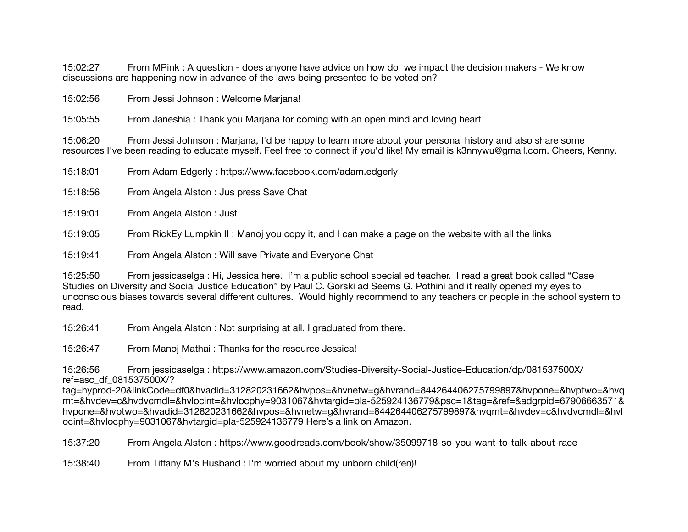15:02:27 From MPink : A question - does anyone have advice on how do we impact the decision makers - We know discussions are happening now in advance of the laws being presented to be voted on?

15:02:56 From Jessi Johnson : Welcome Marjana!

15:05:55 From Janeshia : Thank you Marjana for coming with an open mind and loving heart

15:06:20 From Jessi Johnson : Marjana, I'd be happy to learn more about your personal history and also share some resources I've been reading to educate myself. Feel free to connect if you'd like! My email is k3nnywu@gmail.com. Cheers, Kenny.

- 15:18:01 From Adam Edgerly : https://www.facebook.com/adam.edgerly
- 15:18:56 From Angela Alston : Jus press Save Chat
- 15:19:01 From Angela Alston : Just
- 15:19:05 From RickEy Lumpkin II : Manoj you copy it, and I can make a page on the website with all the links
- 15:19:41 From Angela Alston : Will save Private and Everyone Chat

15:25:50 From jessicaselga : Hi, Jessica here. I'm a public school special ed teacher. I read a great book called "Case Studies on Diversity and Social Justice Education" by Paul C. Gorski ad Seems G. Pothini and it really opened my eyes to unconscious biases towards several different cultures. Would highly recommend to any teachers or people in the school system to read.

15:26:41 From Angela Alston : Not surprising at all. I graduated from there.

15:26:47 From Manoj Mathai : Thanks for the resource Jessica!

15:26:56 From jessicaselga : https://www.amazon.com/Studies-Diversity-Social-Justice-Education/dp/081537500X/ ref=asc\_df\_081537500X/?

tag=hyprod-20&linkCode=df0&hvadid=312820231662&hvpos=&hvnetw=g&hvrand=844264406275799897&hvpone=&hvptwo=&hvq mt=&hvdev=c&hvdvcmdl=&hvlocint=&hvlocphy=9031067&hvtargid=pla-525924136779&psc=1&tag=&ref=&adgrpid=67906663571& hvpone=&hvptwo=&hvadid=312820231662&hvpos=&hvnetw=g&hvrand=844264406275799897&hvqmt=&hvdev=c&hvdvcmdl=&hvl ocint=&hvlocphy=9031067&hvtargid=pla-525924136779 Here's a link on Amazon.

15:37:20 From Angela Alston : https://www.goodreads.com/book/show/35099718-so-you-want-to-talk-about-race

15:38:40 From Tiffany M's Husband : I'm worried about my unborn child(ren)!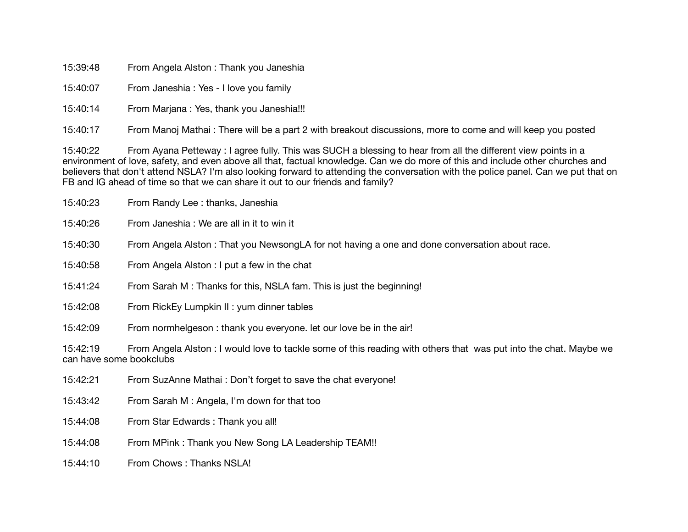15:39:48 From Angela Alston : Thank you Janeshia

15:40:07 From Janeshia : Yes - I love you family

15:40:14 From Marjana : Yes, thank you Janeshia!!!

15:40:17 From Manoj Mathai : There will be a part 2 with breakout discussions, more to come and will keep you posted

15:40:22 From Ayana Petteway : I agree fully. This was SUCH a blessing to hear from all the different view points in a environment of love, safety, and even above all that, factual knowledge. Can we do more of this and include other churches and believers that don't attend NSLA? I'm also looking forward to attending the conversation with the police panel. Can we put that on FB and IG ahead of time so that we can share it out to our friends and family?

| 15:40:23                            | From Randy Lee: thanks, Janeshia                                                                                 |
|-------------------------------------|------------------------------------------------------------------------------------------------------------------|
| 15:40:26                            | From Janeshia: We are all in it to win it                                                                        |
| 15:40:30                            | From Angela Alston: That you NewsongLA for not having a one and done conversation about race.                    |
| 15:40:58                            | From Angela Alston: I put a few in the chat                                                                      |
| 15:41:24                            | From Sarah M: Thanks for this, NSLA fam. This is just the beginning!                                             |
| 15:42:08                            | From RickEy Lumpkin II: yum dinner tables                                                                        |
| 15:42:09                            | From normhelgeson: thank you everyone. let our love be in the air!                                               |
| 15:42:19<br>can have some bookclubs | From Angela Alston: I would love to tackle some of this reading with others that was put into the chat. Maybe we |
| 15:42:21                            | From SuzAnne Mathai: Don't forget to save the chat everyone!                                                     |
| 15:43:42                            | From Sarah M : Angela, I'm down for that too                                                                     |
| 15:44:08                            | From Star Edwards: Thank you all!                                                                                |

15:44:08 From MPink : Thank you New Song LA Leadership TEAM!!

15:44:10 From Chows : Thanks NSLA!